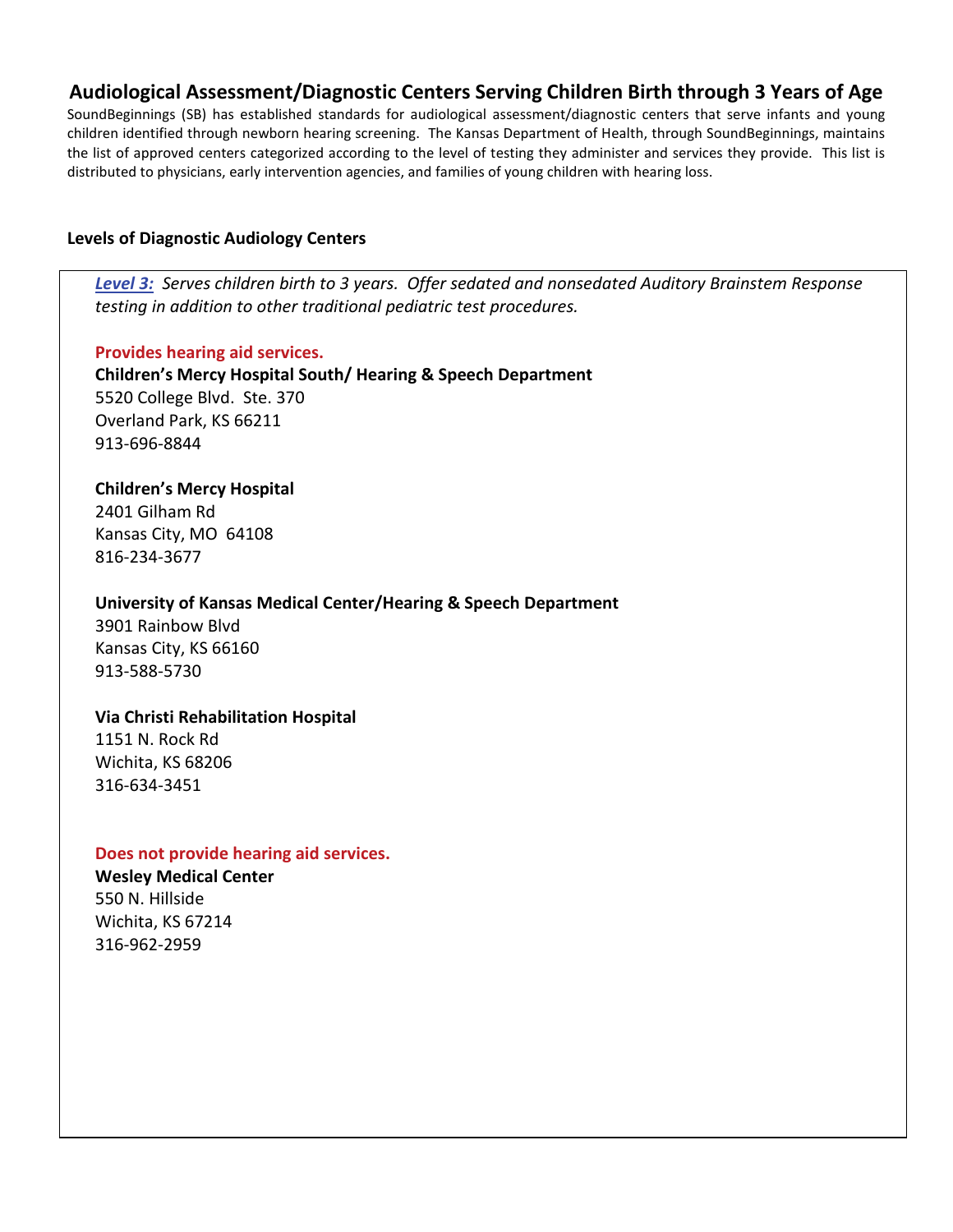# **Audiological Assessment/Diagnostic Centers Serving Children Birth through 3 Years of Age**

SoundBeginnings (SB) has established standards for audiological assessment/diagnostic centers that serve infants and young children identified through newborn hearing screening. The Kansas Department of Health, through SoundBeginnings, maintains the list of approved centers categorized according to the level of testing they administer and services they provide. This list is distributed to physicians, early intervention agencies, and families of young children with hearing loss.

## **Levels of Diagnostic Audiology Centers**

*[Level 3:](#page-2-0) Serves children birth to 3 years. Offer sedated and nonsedated Auditory Brainstem Response testing in addition to other traditional pediatric test procedures.*

### **Provides hearing aid services.**

**Children's Mercy Hospital South/ Hearing & Speech Department** 5520 College Blvd. Ste. 370 Overland Park, KS 66211 913-696-8844

### **Children's Mercy Hospital**

2401 Gilham Rd Kansas City, MO 64108 816-234-3677

### **University of Kansas Medical Center/Hearing & Speech Department**

3901 Rainbow Blvd Kansas City, KS 66160 913-588-5730

## **Via Christi Rehabilitation Hospital**

1151 N. Rock Rd Wichita, KS 68206 316-634-3451

#### **Does not provide hearing aid services.**

**Wesley Medical Center** 550 N. Hillside Wichita, KS 67214 316-962-2959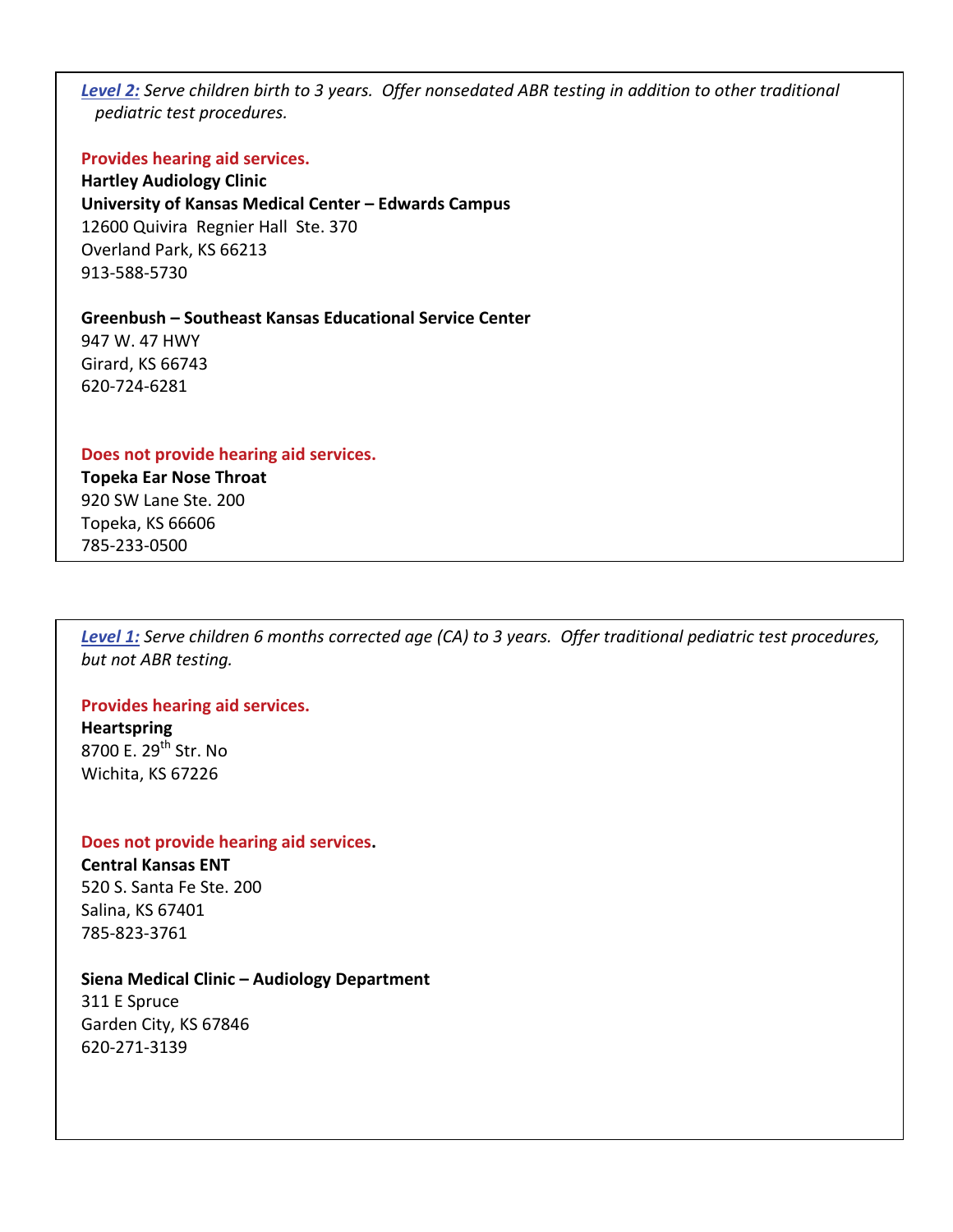*[Level 2:](#page-2-0) Serve children birth to 3 years. Offer nonsedated ABR testing in addition to other traditional pediatric test procedures.* 

**Provides hearing aid services.**

**Hartley Audiology Clinic University of Kansas Medical Center – Edwards Campus** 12600 Quivira Regnier Hall Ste. 370 Overland Park, KS 66213 913-588-5730

**Greenbush – Southeast Kansas Educational Service Center** 947 W. 47 HWY Girard, KS 66743 620-724-6281

**Does not provide hearing aid services.**

**Topeka Ear Nose Throat** 920 SW Lane Ste. 200 Topeka, KS 66606 785-233-0500

*[Level 1:](#page-3-0) Serve children 6 months corrected age (CA) to 3 years. Offer traditional pediatric test procedures, but not ABR testing.*

### **Provides hearing aid services.**

**Heartspring** 8700 E.  $29^{th}$  Str. No Wichita, KS 67226

#### **Does not provide hearing aid services.**

**Central Kansas ENT**

520 S. Santa Fe Ste. 200 Salina, KS 67401 785-823-3761

**Siena Medical Clinic – Audiology Department** 311 E Spruce Garden City, KS 67846 620-271-3139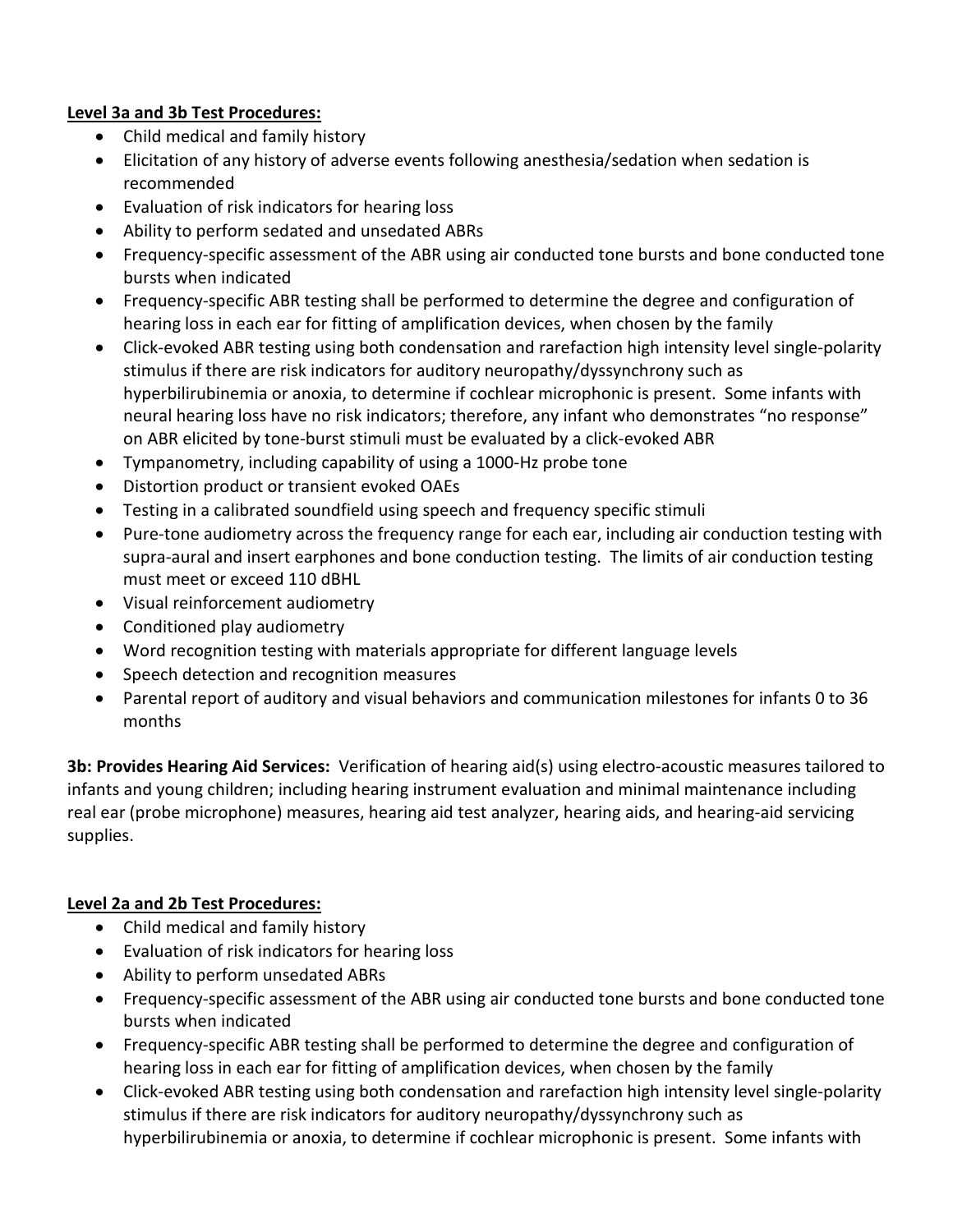# <span id="page-2-0"></span>**Level 3a and 3b Test Procedures:**

- Child medical and family history
- Elicitation of any history of adverse events following anesthesia/sedation when sedation is recommended
- Evaluation of risk indicators for hearing loss
- Ability to perform sedated and unsedated ABRs
- Frequency-specific assessment of the ABR using air conducted tone bursts and bone conducted tone bursts when indicated
- Frequency-specific ABR testing shall be performed to determine the degree and configuration of hearing loss in each ear for fitting of amplification devices, when chosen by the family
- Click-evoked ABR testing using both condensation and rarefaction high intensity level single-polarity stimulus if there are risk indicators for auditory neuropathy/dyssynchrony such as hyperbilirubinemia or anoxia, to determine if cochlear microphonic is present. Some infants with neural hearing loss have no risk indicators; therefore, any infant who demonstrates "no response" on ABR elicited by tone-burst stimuli must be evaluated by a click-evoked ABR
- Tympanometry, including capability of using a 1000-Hz probe tone
- Distortion product or transient evoked OAEs
- Testing in a calibrated soundfield using speech and frequency specific stimuli
- Pure-tone audiometry across the frequency range for each ear, including air conduction testing with supra-aural and insert earphones and bone conduction testing. The limits of air conduction testing must meet or exceed 110 dBHL
- Visual reinforcement audiometry
- Conditioned play audiometry
- Word recognition testing with materials appropriate for different language levels
- Speech detection and recognition measures
- Parental report of auditory and visual behaviors and communication milestones for infants 0 to 36 months

**3b: Provides Hearing Aid Services:** Verification of hearing aid(s) using electro-acoustic measures tailored to infants and young children; including hearing instrument evaluation and minimal maintenance including real ear (probe microphone) measures, hearing aid test analyzer, hearing aids, and hearing-aid servicing supplies.

# **Level 2a and 2b Test Procedures:**

- Child medical and family history
- Evaluation of risk indicators for hearing loss
- Ability to perform unsedated ABRs
- Frequency-specific assessment of the ABR using air conducted tone bursts and bone conducted tone bursts when indicated
- Frequency-specific ABR testing shall be performed to determine the degree and configuration of hearing loss in each ear for fitting of amplification devices, when chosen by the family
- Click-evoked ABR testing using both condensation and rarefaction high intensity level single-polarity stimulus if there are risk indicators for auditory neuropathy/dyssynchrony such as hyperbilirubinemia or anoxia, to determine if cochlear microphonic is present. Some infants with